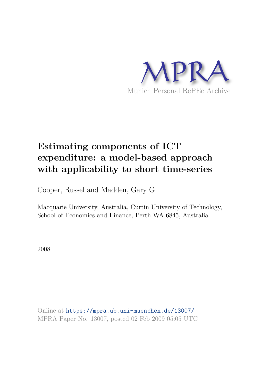

# **Estimating components of ICT expenditure: a model-based approach with applicability to short time-series**

Cooper, Russel and Madden, Gary G

Macquarie University, Australia, Curtin University of Technology, School of Economics and Finance, Perth WA 6845, Australia

2008

Online at https://mpra.ub.uni-muenchen.de/13007/ MPRA Paper No. 13007, posted 02 Feb 2009 05:05 UTC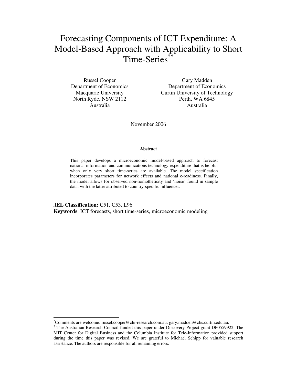## Forecasting Components of ICT Expenditure: A Model-Based Approach with Applicability to Short Time-Series\*†

Russel Cooper Department of Economics Macquarie University North Ryde, NSW 2112 Australia

Gary Madden Department of Economics Curtin University of Technology Perth, WA 6845 Australia

November 2006

#### **Abstract**

This paper develops a microeconomic model-based approach to forecast national information and communications technology expenditure that is helpful when only very short time-series are available. The model specification incorporates parameters for network effects and national e-readiness. Finally, the model allows for observed non-homotheticity and 'noise' found in sample data, with the latter attributed to country-specific influences.

**JEL Classification:** C51, C53, L96 **Keywords**: ICT forecasts, short time-series, microeconomic modeling

1

<sup>\*</sup>Comments are welcome: russel.cooper@chi-research.com.au; gary.madden@cbs.curtin.edu.au.

<sup>†</sup> The Australian Research Council funded this paper under Discovery Project grant DP0559922. The MIT Center for Digital Business and the Columbia Institute for Tele-Information provided support during the time this paper was revised. We are grateful to Michael Schipp for valuable research assistance. The authors are responsible for all remaining errors.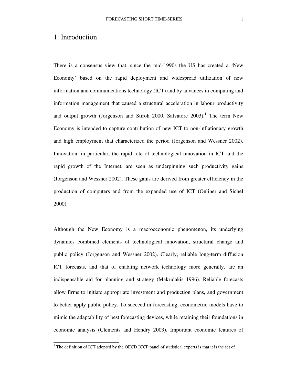#### 1. Introduction

There is a consensus view that, since the mid-1990s the US has created a 'New Economy' based on the rapid deployment and widespread utilization of new information and communications technology (ICT) and by advances in computing and information management that caused a structural acceleration in labour productivity and output growth (Jorgenson and Stiroh 2000, Salvatore 2003).<sup>1</sup> The term New Economy is intended to capture contribution of new ICT to non-inflationary growth and high employment that characterized the period (Jorgenson and Wessner 2002). Innovation, in particular, the rapid rate of technological innovation in ICT and the rapid growth of the Internet, are seen as underpinning such productivity gains (Jorgenson and Wessner 2002). These gains are derived from greater efficiency in the production of computers and from the expanded use of ICT (Onliner and Sichel 2000).

Although the New Economy is a macroeconomic phenomenon, its underlying dynamics combined elements of technological innovation, structural change and public policy (Jorgenson and Wessner 2002). Clearly, reliable long-term diffusion ICT forecasts, and that of enabling network technology more generally, are an indispensable aid for planning and strategy (Makridakis 1996). Reliable forecasts allow firms to initiate appropriate investment and production plans, and government to better apply public policy. To succeed in forecasting, econometric models have to mimic the adaptability of best forecasting devices, while retaining their foundations in economic analysis (Clements and Hendry 2003). Important economic features of

<sup>&</sup>lt;sup>1</sup> The definition of ICT adopted by the OECD ICCP panel of statistical experts is that it is the set of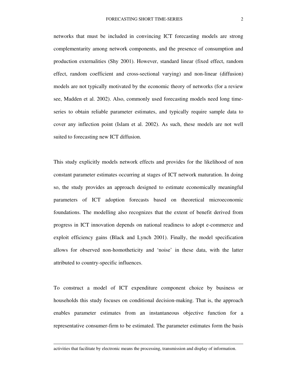networks that must be included in convincing ICT forecasting models are strong complementarity among network components, and the presence of consumption and production externalities (Shy 2001). However, standard linear (fixed effect, random effect, random coefficient and cross-sectional varying) and non-linear (diffusion) models are not typically motivated by the economic theory of networks (for a review see, Madden et al. 2002). Also, commonly used forecasting models need long timeseries to obtain reliable parameter estimates, and typically require sample data to cover any inflection point (Islam et al. 2002). As such, these models are not well suited to forecasting new ICT diffusion.

This study explicitly models network effects and provides for the likelihood of non constant parameter estimates occurring at stages of ICT network maturation. In doing so, the study provides an approach designed to estimate economically meaningful parameters of ICT adoption forecasts based on theoretical microeconomic foundations. The modelling also recognizes that the extent of benefit derived from progress in ICT innovation depends on national readiness to adopt e-commerce and exploit efficiency gains (Black and Lynch 2001). Finally, the model specification allows for observed non-homotheticity and 'noise' in these data, with the latter attributed to country-specific influences.

To construct a model of ICT expenditure component choice by business or households this study focuses on conditional decision-making. That is, the approach enables parameter estimates from an instantaneous objective function for a representative consumer-firm to be estimated. The parameter estimates form the basis

-

activities that facilitate by electronic means the processing, transmission and display of information.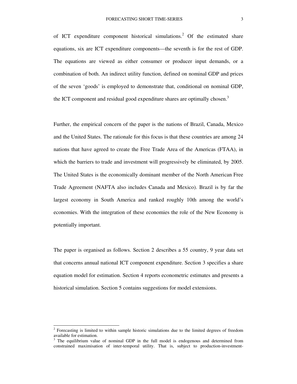of ICT expenditure component historical simulations.<sup>2</sup> Of the estimated share equations, six are ICT expenditure components—the seventh is for the rest of GDP. The equations are viewed as either consumer or producer input demands, or a combination of both. An indirect utility function, defined on nominal GDP and prices of the seven 'goods' is employed to demonstrate that, conditional on nominal GDP, the ICT component and residual good expenditure shares are optimally chosen.<sup>3</sup>

Further, the empirical concern of the paper is the nations of Brazil, Canada, Mexico and the United States. The rationale for this focus is that these countries are among 24 nations that have agreed to create the Free Trade Area of the Americas (FTAA), in which the barriers to trade and investment will progressively be eliminated, by 2005. The United States is the economically dominant member of the North American Free Trade Agreement (NAFTA also includes Canada and Mexico). Brazil is by far the largest economy in South America and ranked roughly 10th among the world's economies. With the integration of these economies the role of the New Economy is potentially important.

The paper is organised as follows. Section 2 describes a 55 country, 9 year data set that concerns annual national ICT component expenditure. Section 3 specifies a share equation model for estimation. Section 4 reports econometric estimates and presents a historical simulation. Section 5 contains suggestions for model extensions.

1

 $2$  Forecasting is limited to within sample historic simulations due to the limited degrees of freedom available for estimation.<br><sup>3</sup> The equilibrium value of nominal GDP in the full model is endogenous and determined from

constrained maximisation of inter-temporal utility. That is, subject to production-investment-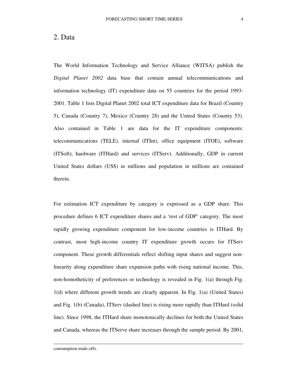#### 2. Data

The World Information Technology and Service Alliance (WITSA) publish the *Digital Planet 2002* data base that contain annual telecommunications and information technology (IT) expenditure data on 55 countries for the period 1993- 2001. Table 1 lists Digital Planet 2002 total ICT expenditure data for Brazil (Country 5), Canada (Country 7), Mexico (Country 28) and the United States (Country 53). Also contained in Table 1 are data for the IT expenditure components: telecommunications (TELE), internal (ITInt), office equipment (ITOE), software (ITSoft), hardware (ITHard) and services (ITServ). Additionally, GDP in current United States dollars (US\$) in millions and population in millions are contained therein.

For estimation ICT expenditure by category is expressed as a GDP share. This procedure defines 6 ICT expenditure shares and a 'rest of GDP' category. The most rapidly growing expenditure component for low-income countries is ITHard. By contrast, most high-income country IT expenditure growth occurs for ITServ component. These growth differentials reflect shifting input shares and suggest nonlinearity along expenditure share expansion paths with rising national income. This, non-homotheticity of preferences or technology is revealed in Fig. 1(a) through Fig. 1(d) where different growth trends are clearly apparent. In Fig. 1(a) (United States) and Fig. 1(b) (Canada), ITServ (dashed line) is rising more rapidly than ITHard (solid line). Since 1998, the ITHard share monotonically declines for both the United States and Canada, whereas the ITServe share increases through the sample period. By 2001,

-

consumption trade-offs.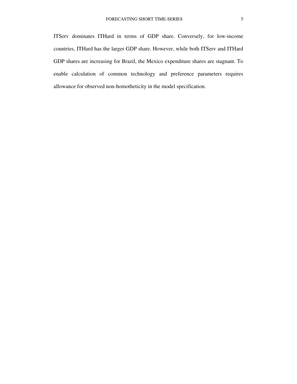ITServ dominates ITHard in terms of GDP share. Conversely, for low-income countries, ITHard has the larger GDP share. However, while both ITServ and ITHard GDP shares are increasing for Brazil, the Mexico expenditure shares are stagnant. To enable calculation of common technology and preference parameters requires allowance for observed non-homotheticity in the model specification.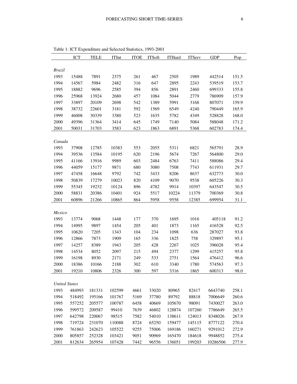|                      | ICT    | <b>TELE</b> | $\operatorname{ITInt}$ | <b>ITOE</b> | <b>ITS</b> oft | <b>ITHard</b> | <b>ITServ</b> | GDP      | Pop   |
|----------------------|--------|-------------|------------------------|-------------|----------------|---------------|---------------|----------|-------|
|                      |        |             |                        |             |                |               |               |          |       |
| <b>Brazil</b>        |        |             |                        |             |                |               |               |          |       |
| 1993                 | 15488  | 7891        | 2375                   | 261         | 467            | 2505          | 1989          | 442514   | 151.5 |
| 1994                 | 14567  | 5984        | 2482                   | 316         | 647            | 2895          | 2243          | 539519   | 153.7 |
| 1995                 | 18882  | 9696        | 2585                   | 394         | 856            | 2891          | 2460          | 699333   | 155.8 |
| 1996                 | 25968  | 13924       | 2680                   | 457         | 1084           | 5044          | 2779          | 786909   | 157.9 |
| 1997                 | 33897  | 20109       | 2698                   | 542         | 1389           | 5991          | 3168          | 807071   | 159.9 |
| 1998                 | 38732  | 22601       | 3181                   | 592         | 1569           | 6549          | 4240          | 790449   | 165.9 |
| 1999                 | 46008  | 30339       | 3380                   | 523         | 1635           | 5782          | 4349          | 528828   | 168.0 |
| 2000                 | 49396  | 31364       | 3414                   | 645         | 1749           | 7140          | 5084          | 588048   | 171.2 |
| 2001                 | 50031  | 31703       | 3583                   | 623         | 1863           | 6891          | 5368          | 602783   | 174.4 |
|                      |        |             |                        |             |                |               |               |          |       |
| Canada               |        |             |                        |             |                |               |               |          |       |
| 1993                 | 37908  | 12785       | 10383                  | 553         | 2055           | 5311          | 6821          | 565791   | 28.9  |
| 1994                 | 39536  | 13584       | 10195                  | 620         | 2196           | 5674          | 7267          | 564800   | 29.0  |
| 1995                 | 41166  | 13916       | 9989                   | 603         | 2484           | 6763          | 7411          | 588086   | 29.4  |
| 1996                 | 44059  | 15177       | 9871                   | 680         | 3080           | 7508          | 7743          | 611931   | 29.7  |
| 1997                 | 47458  | 16648       | 9792                   | 742         | 3433           | 8206          | 8637          | 632773   | 30.0  |
| 1998                 | 50839  | 17279       | 10023                  | 820         | 4109           | 9070          | 9538          | 605226   | 30.3  |
| 1999                 | 55345  | 19232       | 10124                  | 896         | 4782           | 9914          | 10397         | 643547   | 30.5  |
| 2000                 | 58831  | 20386       | 10401                  | 924         | 5517           | 10224         | 11379         | 700369   | 30.8  |
| 2001                 | 60896  | 21266       | 10865                  | 864         | 5958           | 9558          | 12385         | 699954   | 31.1  |
|                      |        |             |                        |             |                |               |               |          |       |
| Mexico               |        |             |                        |             |                |               |               |          |       |
| 1993                 | 13774  | 9068        | 1448                   | 177         | 370            | 1695          | 1016          | 405118   | 91.2  |
| 1994                 | 14995  | 9897        | 1454                   | 205         | 401            | 1873          | 1165          | 416528   | 92.5  |
| 1995                 | 10620  | 7205        | 1343                   | 104         | 234            | 1098          | 636           | 287027   | 93.8  |
| 1996                 | 12866  | 7873        | 1909                   | 165         | 336            | 1825          | 758           | 329897   | 95.1  |
| 1997                 | 14257  | 8389        | 1943                   | 205         | 428            | 2267          | 1025          | 396028   | 95.4  |
| 1998                 | 14534  | 8052        | 2097                   | 215         | 494            | 2377          | 1299          | 415257   | 95.8  |
| 1999                 | 16198  | 8930        | 2171                   | 249         | 533            | 2751          | 1564          | 476412   | 96.6  |
| 2000                 | 18386  | 10166       | 2188                   | 302         | 610            | 3340          | 1780          | 574563   | 97.3  |
| 2001                 | 19210  | 10806       | 2326                   | 300         | 597            | 3316          | 1865          | 600313   | 98.0  |
|                      |        |             |                        |             |                |               |               |          |       |
| <b>United States</b> |        |             |                        |             |                |               |               |          |       |
| 1993                 | 484993 | 181331      | 102599                 | 4661        | 33020          | 80965         | 82417         | 6643740  | 258.1 |
| 1994                 | 518492 | 195166      | 101767                 | 5169        | 37780          | 89792         | 88818         | 7006649  | 260.6 |
| 1995                 | 557252 | 205577      | 100787                 | 6458        | 40669          | 105670        | 98091         | 7430027  | 263.0 |
| 1996                 | 599572 | 209587      | 99410                  | 7639        | 46802          | 128874        | 107260        | 7786649  | 265.5 |
| 1997                 | 642798 | 220067      | 98515                  | 7582        | 54010          | 138611        | 124013        | 8348026  | 267.9 |
| 1998                 | 719724 | 231070      | 110088                 | 8724        | 65250          | 159477        | 145115        | 8777122  | 270.4 |
| 1999                 | 761863 | 242623      | 105522                 | 9255        | 75006          | 169186        | 160271        | 9291012  | 272.9 |
| 2000                 | 805857 | 252328      | 103421                 | 9051        | 90969          | 165470        | 184618        | 9948852  | 275.4 |
| 2001                 | 812634 | 265954      | 107428                 | 7442        | 96556          | 136051        | 199203        | 10286506 | 277.9 |

Table 1: ICT Expenditure and Selected Statistics, 1993-2001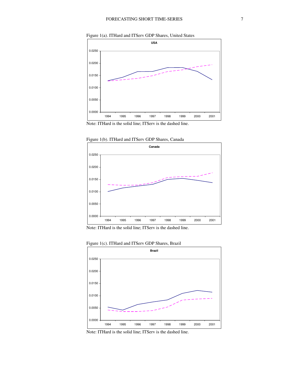



Note: ITHard is the solid line; ITServ is the dashed line.



Figure 1(b). ITHard and ITServ GDP Shares, Canada

Figure 1(c). ITHard and ITServ GDP Shares, Brazil



Note: ITHard is the solid line; ITServ is the dashed line.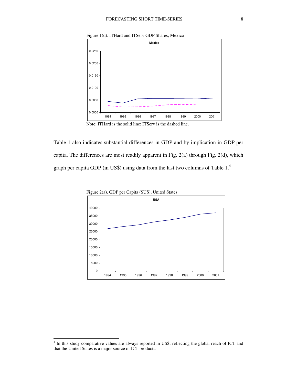



Note: ITHard is the solid line; ITServ is the dashed line.

Table 1 also indicates substantial differences in GDP and by implication in GDP per capita. The differences are most readily apparent in Fig. 2(a) through Fig. 2(d), which graph per capita GDP (in US\$) using data from the last two columns of Table 1.<sup>4</sup>



j

<sup>&</sup>lt;sup>4</sup> In this study comparative values are always reported in US\$, reflecting the global reach of ICT and that the United States is a major source of ICT products.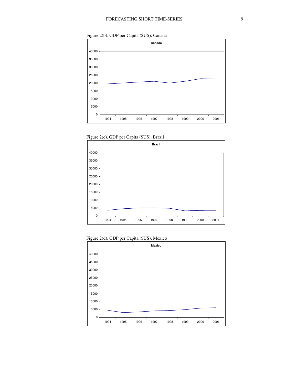Figure 2(b). GDP per Capita (\$US), Canada



Figure 2(c). GDP per Capita (\$US), Brazil





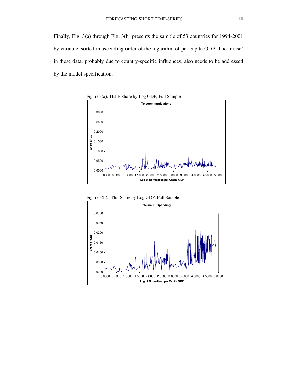Finally, Fig. 3(a) through Fig. 3(h) presents the sample of 53 countries for 1994-2001 by variable, sorted in ascending order of the logarithm of per capita GDP. The 'noise' in these data, probably due to country-specific influences, also needs to be addressed by the model specification.



Figure 3(b). ITInt Share by Log GDP, Full Sample

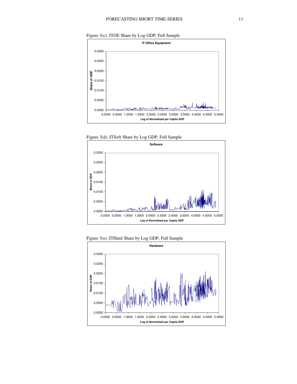







Figure 3(e). ITHard Share by Log GDP, Full Sample

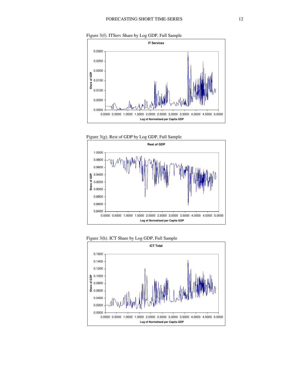



Figure 3(g). Rest of GDP by Log GDP, Full Sample





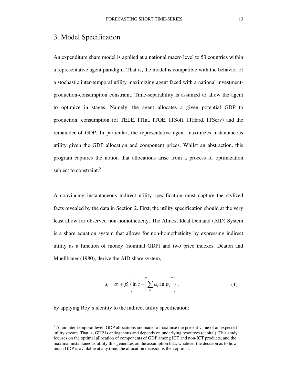#### 3. Model Specification

An expenditure share model is applied at a national macro level to 53 countries within a representative agent paradigm. That is, the model is compatible with the behavior of a stochastic inter-temporal utility maximizing agent faced with a national investmentproduction-consumption constraint. Time-separability is assumed to allow the agent to optimize in stages. Namely, the agent allocates a given potential GDP to production, consumption (of TELE, ITInt, ITOE, ITSoft, ITHard, ITServ) and the remainder of GDP. In particular, the representative agent maximizes instantaneous utility given the GDP allocation and component prices. Whilst an abstraction, this program captures the notion that allocations arise from a process of optimization subject to constraint.<sup>5</sup>

A convincing instantaneous indirect utility specification must capture the stylized facts revealed by the data in Section 2. First, the utility specification should at the very least allow for observed non-homotheticity. The Almost Ideal Demand (AID) System is a share equation system that allows for non-homotheticity by expressing indirect utility as a function of money (nominal GDP) and two price indexes. Deaton and Muellbauer (1980), derive the AID share system,

$$
s_i = \alpha_i + \beta_i \left\{ \ln c - \left[ \sum_k \alpha_k \ln p_k \right] \right\},\tag{1}
$$

by applying Roy's identity to the indirect utility specification:

1

 $<sup>5</sup>$  At an inter-temporal level, GDP allocations are made to maximise the present value of an expected</sup> utility stream. That is, GDP is endogenous and depends on underlying resources (capital). This study focuses on the optimal allocation of components of GDP among ICT and non-ICT products, and the maximal instantaneous utility this generates on the assumption that, whatever the decision as to how much GDP is available at any time, the allocation decision is then optimal.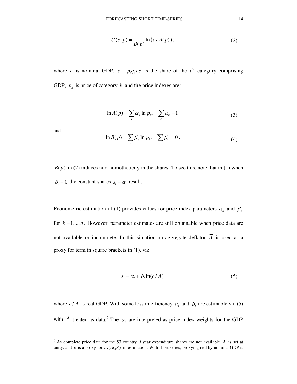$$
U(c, p) = \frac{1}{B(p)} \ln\left(c / A(p)\right),\tag{2}
$$

where *c* is nominal GDP,  $s_i = p_i q_i / c$  is the share of the  $i<sup>th</sup>$  category comprising GDP,  $p_k$  is price of category  $k$  and the price indexes are:

$$
\ln A(p) = \sum_{k} \alpha_{k} \ln p_{k}, \quad \sum_{k} \alpha_{k} = 1 \tag{3}
$$

and

-

$$
\ln B(p) = \sum_{k} \beta_k \ln p_k, \quad \sum_{k} \beta_k = 0.
$$
 (4)

 $B(p)$  in (2) induces non-homotheticity in the shares. To see this, note that in (1) when  $\beta_i = 0$  the constant shares  $s_i = \alpha_i$  result.

Econometric estimation of (1) provides values for price index parameters  $\alpha_k$  and  $\beta_k$ for  $k = 1, \ldots, n$ . However, parameter estimates are still obtainable when price data are not available or incomplete. In this situation an aggregate deflator  $\overline{A}$  is used as a proxy for term in square brackets in (1), viz.

$$
s_i = \alpha_i + \beta_i \ln(c/\bar{A})
$$
\n(5)

where  $c/A$  is real GDP. With some loss in efficiency  $\alpha_i$  and  $\beta_i$  are estimable via (5) with  $\overline{A}$  treated as data.<sup>6</sup> The  $\alpha_i$  are interpreted as price index weights for the GDP

<sup>&</sup>lt;sup>6</sup> As complete price data for the 53 country 9 year expenditure shares are not available  $\overline{A}$  is set at unity, and *c* is a proxy for  $c/(A(p))$  in estimation. With short series, proxying real by nominal GDP is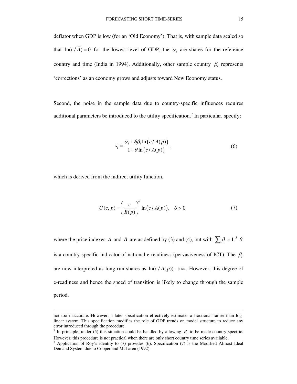deflator when GDP is low (for an 'Old Economy'). That is, with sample data scaled so that  $ln(c/\overline{A}) = 0$  for the lowest level of GDP, the  $\alpha_i$  are shares for the reference country and time (India in 1994). Additionally, other sample country  $\beta_i$  represents 'corrections' as an economy grows and adjusts toward New Economy status.

Second, the noise in the sample data due to country-specific influences requires additional parameters be introduced to the utility specification.<sup>7</sup> In particular, specify:

$$
s_i = \frac{\alpha_i + \theta \beta_i \ln(c/A(p))}{1 + \theta \ln(c/A(p))},
$$
\n(6)

which is derived from the indirect utility function,

-

$$
U(c, p) = \left(\frac{c}{B(p)}\right)^{\theta} \ln\left(c/A(p)\right), \quad \theta > 0 \tag{7}
$$

where the price indexes *A* and *B* are as defined by (3) and (4), but with  $\sum \beta_i = 1.^8$   $\theta$ is a country-specific indicator of national e-readiness (pervasiveness of ICT). The  $\beta_i$ are now interpreted as long-run shares as  $ln(c / A(p)) \rightarrow \infty$ . However, this degree of e-readiness and hence the speed of transition is likely to change through the sample period.

not too inaccurate. However, a later specification effectively estimates a fractional rather than loglinear system. This specification modifies the role of GDP trends on model structure to reduce any error introduced through the procedure.

<sup>&</sup>lt;sup>7</sup> In principle, under (5) this situation could be handled by allowing  $\beta_i$  to be made country specific. However, this procedure is not practical when there are only short country time series available.

<sup>8</sup> Application of Roy's identity to (7) provides (6). Specification (7) is the Modified Almost Ideal Demand System due to Cooper and McLaren (1992).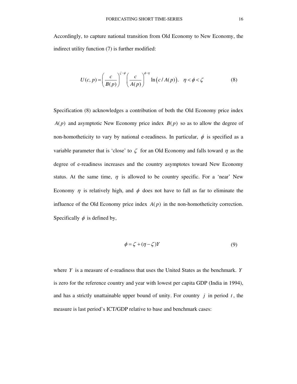Accordingly, to capture national transition from Old Economy to New Economy, the indirect utility function (7) is further modified:

$$
U(c, p) = \left(\frac{c}{B(p)}\right)^{\zeta - \phi} \left(\frac{c}{A(p)}\right)^{\phi - \eta} \ln\left(c / A(p)\right), \quad \eta < \phi < \zeta \tag{8}
$$

Specification (8) acknowledges a contribution of both the Old Economy price index  $A(p)$  and asymptotic New Economy price index  $B(p)$  so as to allow the degree of non-homotheticity to vary by national e-readiness. In particular,  $\phi$  is specified as a variable parameter that is 'close' to  $\zeta$  for an Old Economy and falls toward  $\eta$  as the degree of e-readiness increases and the country asymptotes toward New Economy status. At the same time,  $\eta$  is allowed to be country specific. For a 'near' New Economy  $\eta$  is relatively high, and  $\phi$  does not have to fall as far to eliminate the influence of the Old Economy price index  $A(p)$  in the non-homotheticity correction. Specifically  $\phi$  is defined by,

$$
\phi = \zeta + (\eta - \zeta)Y\tag{9}
$$

where *Y* is a measure of e-readiness that uses the United States as the benchmark. *Y* is zero for the reference country and year with lowest per capita GDP (India in 1994), and has a strictly unattainable upper bound of unity. For country  $j$  in period  $t$ , the measure is last period's ICT/GDP relative to base and benchmark cases: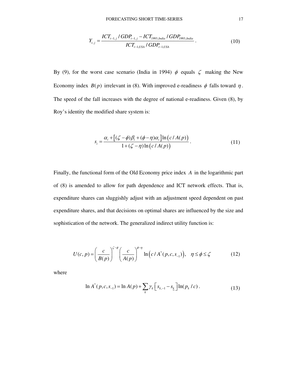$$
Y_{t,j} = \frac{ICT_{t-1,j} / GDP_{t-1,j} - ICT_{1993, India} / GDP_{1993, India}}{ICT_{t-1,USA} / GDP_{t-1,USA}}.
$$
 (10)

By (9), for the worst case scenario (India in 1994)  $\phi$  equals  $\zeta$  making the New Economy index  $B(p)$  irrelevant in (8). With improved e-readiness  $\phi$  falls toward  $\eta$ . The speed of the fall increases with the degree of national e-readiness. Given (8), by Roy's identity the modified share system is:

$$
s_i = \frac{\alpha_i + \left[ (\zeta - \phi)\beta_i + (\phi - \eta)\alpha_i \right] \ln \left( c/A(p) \right)}{1 + (\zeta - \eta)\ln \left( c/A(p) \right)}.
$$
\n(11)

Finally, the functional form of the Old Economy price index *A* in the logarithmic part of (8) is amended to allow for path dependence and ICT network effects. That is, expenditure shares can sluggishly adjust with an adjustment speed dependent on past expenditure shares, and that decisions on optimal shares are influenced by the size and sophistication of the network. The generalized indirect utility function is:

$$
U(c,p) = \left(\frac{c}{B(p)}\right)^{\zeta-\phi} \left(\frac{c}{A(p)}\right)^{\phi-\eta} \ln\left(c/A^*(p,c,s_{-1})\right), \quad \eta \le \phi \le \zeta \tag{12}
$$

where

$$
\ln A^*(p, c, s_{-1}) = \ln A(p) + \sum_{k} \gamma_k \left[ s_{k, -1} - s_k \right] \ln(p_k / c). \tag{13}
$$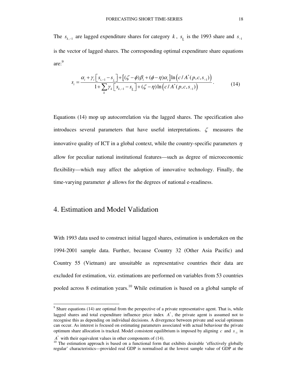The  $s_{k-1}$  are lagged expenditure shares for category *k*,  $s_k$  is the 1993 share and  $s_{-1}$ is the vector of lagged shares. The corresponding optimal expenditure share equations are: 9

$$
s_i = \frac{\alpha_i + \gamma_i \left[ s_{i, -1} - s_{\underline{i}} \right] + \left[ (\zeta - \phi) \beta_i + (\phi - \eta) \alpha_i \right] \ln \left( c / A^*(p, c, s_{-1}) \right)}{1 + \sum_k \gamma_k \left[ s_{k, -1} - s_{\underline{k}} \right] + (\zeta - \eta) \ln \left( c / A^*(p, c, s_{-1}) \right)}.
$$
(14)

Equations (14) mop up autocorrelation via the lagged shares. The specification also introduces several parameters that have useful interpretations.  $\zeta$  measures the innovative quality of ICT in a global context, while the country-specific parameters  $\eta$ allow for peculiar national institutional features—such as degree of microeconomic flexibility—which may affect the adoption of innovative technology. Finally, the time-varying parameter  $\phi$  allows for the degrees of national e-readiness.

#### 4. Estimation and Model Validation

With 1993 data used to construct initial lagged shares, estimation is undertaken on the 1994-2001 sample data. Further, because Country 32 (Other Asia Pacific) and Country 55 (Vietnam) are unsuitable as representative countries their data are excluded for estimation, viz. estimations are performed on variables from 53 countries pooled across 8 estimation years.<sup>10</sup> While estimation is based on a global sample of

1

 $9$  Share equations (14) are optimal from the perspective of a private representative agent. That is, while lagged shares and total expenditure influence price index  $A^*$ , the private agent is assumed not to recognise this as depending on individual decisions. A divergence between private and social optimum can occur. As interest is focused on estimating parameters associated with actual behaviour the private optimum share allocation is tracked. Model consistent equilibrium is imposed by aligning  $c$  and  $s_{-1}$  in

 $A^*$  with their equivalent values in other components of (14).

<sup>&</sup>lt;sup>10</sup> The estimation approach is based on a functional form that exhibits desirable 'effectively globally regular' characteristics—provided real GDP is normalised at the lowest sample value of GDP at the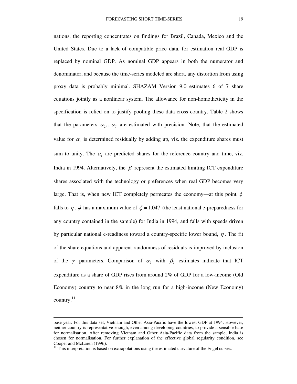nations, the reporting concentrates on findings for Brazil, Canada, Mexico and the United States. Due to a lack of compatible price data, for estimation real GDP is replaced by nominal GDP. As nominal GDP appears in both the numerator and denominator, and because the time-series modeled are short, any distortion from using proxy data is probably minimal. SHAZAM Version 9.0 estimates 6 of 7 share equations jointly as a nonlinear system. The allowance for non-homotheticity in the specification is relied on to justify pooling these data cross country. Table 2 shows that the parameters  $\alpha_2, \ldots, \alpha_n$  are estimated with precision. Note, that the estimated value for  $\alpha_1$  is determined residually by adding up, viz. the expenditure shares must sum to unity. The  $\alpha_i$  are predicted shares for the reference country and time, viz. India in 1994. Alternatively, the  $\beta$  represent the estimated limiting ICT expenditure shares associated with the technology or preferences when real GDP becomes very large. That is, when new ICT completely permeates the economy—at this point  $\phi$ falls to  $\eta$ .  $\phi$  has a maximum value of  $\zeta = 1.047$  (the least national e-preparedness for any country contained in the sample) for India in 1994, and falls with speeds driven by particular national e-readiness toward a country-specific lower bound,  $\eta$ . The fit of the share equations and apparent randomness of residuals is improved by inclusion of the  $\gamma$  parameters. Comparison of  $\alpha_7$  with  $\beta_7$  estimates indicate that ICT expenditure as a share of GDP rises from around 2% of GDP for a low-income (Old Economy) country to near  $8\%$  in the long run for a high-income (New Economy) country.<sup>11</sup>

-

base year. For this data set, Vietnam and Other Asia-Pacific have the lowest GDP at 1994. However, neither country is representative enough, even among developing countries, to provide a sensible base for normalisation. After removing Vietnam and Other Asia-Pacific data from the sample, India is chosen for normalisation. For further explanation of the effective global regularity condition, see Cooper and McLaren (1996).

<sup>&</sup>lt;sup>11</sup> This interpretation is based on extrapolations using the estimated curvature of the Engel curves.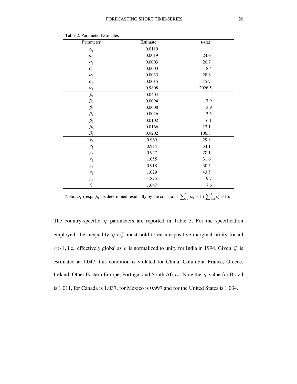| Parameter       | Estimate | t-stat |
|-----------------|----------|--------|
| $\alpha_1$      | 0.0119   |        |
| $\alpha_2$      | 0.0019   | 24.6   |
| $\alpha_3$      | 0.0003   | 20.7   |
| $\alpha_4$      | 0.0003   | 8.4    |
| $\alpha_5$      | 0.0033   | 28.8   |
| $\alpha_6$      | 0.0015   | 15.7   |
| $\alpha_7$      | 0.9808   | 2026.5 |
| $\beta_1$       | 0.0404   |        |
| $\beta_2$       | 0.0094   | 7.9    |
| $\beta_3$       | 0.0008   | 3.9    |
| $\beta_4$       | 0.0026   | 3.5    |
| $\beta_5$       | 0.0102   | 6.1    |
| $\beta_6$       | 0.0166   | 13.1   |
| $\beta_7$       | 0.9202   | 106.8  |
| $\mathcal{V}_1$ | 0.969    | 29.8   |
| $\mathcal{Y}_2$ | 0.954    | 34.1   |
| $\gamma_3$      | 0.927    | 28.1   |
| $\gamma_4$      | 1.055    | 31.6   |
| $\gamma_5$      | 0.918    | 30.5   |
| $\gamma_6$      | 1.029    | 43.5   |
| $\gamma_7$      | 1.875    | 9.7    |
| $\zeta$         | 1.047    | 7.6    |

Table 2: Parameter Estimates

Note:  $\alpha_1$  (resp.  $\beta_1$ ) is determined residually by the constraint  $\sum_{k=1}^7 \alpha_k = 1$  ( $\sum_{k=1}^7 \beta_k = 1$ ).

The country-specific  $\eta$  parameters are reported in Table 3. For the specification employed, the inequality  $\eta < \zeta$  must hold to ensure positive marginal utility for all  $c > 1$ , i.e., effectively global as *c* is normalized to unity for India in 1994. Given  $\zeta$  is estimated at 1.047, this condition is violated for China, Columbia, France, Greece, Ireland, Other Eastern Europe, Portugal and South Africa. Note the  $\eta$  value for Brazil is 1.011, for Canada is 1.037, for Mexico is 0.997 and for the United States is 1.034.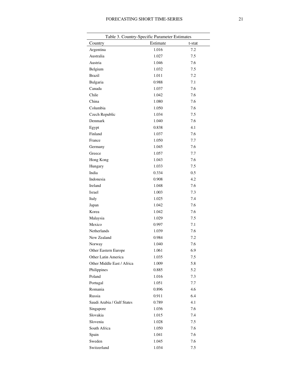| Table 3. Country-Specific Parameter Estimates |          |        |  |  |  |  |
|-----------------------------------------------|----------|--------|--|--|--|--|
| Country                                       | Estimate | t-stat |  |  |  |  |
| Argentina                                     | 1.016    | 7.2    |  |  |  |  |
| Australia                                     | 1.027    | 7.5    |  |  |  |  |
| Austria                                       | 1.046    | 7.6    |  |  |  |  |
| Belgium                                       | 1.032    | 7.5    |  |  |  |  |
| <b>Brazil</b>                                 | 1.011    | 7.2    |  |  |  |  |
| Bulgaria                                      | 0.988    | 7.1    |  |  |  |  |
| Canada                                        | 1.037    | 7.6    |  |  |  |  |
| Chile                                         | 1.042    | 7.6    |  |  |  |  |
| China                                         | 1.080    | 7.6    |  |  |  |  |
| Columbia                                      | 1.050    | 7.6    |  |  |  |  |
| Czech Republic                                | 1.034    | 7.5    |  |  |  |  |
| Denmark                                       | 1.040    | 7.6    |  |  |  |  |
| Egypt                                         | 0.838    | 4.1    |  |  |  |  |
| Finland                                       | 1.037    | 7.6    |  |  |  |  |
| France                                        | 1.050    | 7.7    |  |  |  |  |
| Germany                                       | 1.045    | 7.6    |  |  |  |  |
| Greece                                        | 1.057    | 7.7    |  |  |  |  |
| Hong Kong                                     | 1.043    | 7.6    |  |  |  |  |
| Hungary                                       | 1.033    | 7.5    |  |  |  |  |
| India                                         | 0.334    | 0.5    |  |  |  |  |
| Indonesia                                     | 0.908    | 4.2    |  |  |  |  |
| Ireland                                       | 1.048    | 7.6    |  |  |  |  |
| Israel                                        | 1.003    | 7.3    |  |  |  |  |
| Italy                                         | 1.025    | 7.4    |  |  |  |  |
| Japan                                         | 1.042    | 7.6    |  |  |  |  |
| Korea                                         | 1.042    | 7.6    |  |  |  |  |
| Malaysia                                      | 1.029    | 7.5    |  |  |  |  |
| Mexico                                        | 0.997    | 7.1    |  |  |  |  |
| Netherlands                                   | 1.039    | 7.6    |  |  |  |  |
| New Zealand                                   | 0.984    | 7.2    |  |  |  |  |
| Norway                                        | 1.040    | 7.6    |  |  |  |  |
| <b>Other Eastern Europe</b>                   | 1.061    | 6.9    |  |  |  |  |
| Other Latin America                           | 1.035    | 7.5    |  |  |  |  |
| Other Middle East / Africa                    | 1.009    | 5.8    |  |  |  |  |
| Philippines                                   | 0.885    | 5.2    |  |  |  |  |
| Poland                                        | 1.016    | 7.3    |  |  |  |  |
| Portugal                                      | 1.051    | 7.7    |  |  |  |  |
| Romania                                       | 0.896    | 4.6    |  |  |  |  |
| Russia                                        | 0.911    | 6.4    |  |  |  |  |
| Saudi Arabia / Gulf States                    | 0.789    | 4.1    |  |  |  |  |
| Singapore                                     | 1.036    | 7.6    |  |  |  |  |
| Slovakia                                      | 1.015    | 7.4    |  |  |  |  |
| Slovenia                                      | 1.028    | 7.5    |  |  |  |  |
| South Africa                                  | 1.050    | 7.6    |  |  |  |  |
| Spain                                         | 1.041    | 7.6    |  |  |  |  |
| Sweden                                        | 1.045    | 7.6    |  |  |  |  |
| Switzerland                                   | 1.034    | 7.5    |  |  |  |  |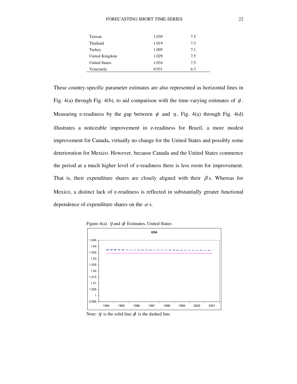| Taiwan               | 1.039 | 7.5 |
|----------------------|-------|-----|
| Thailand             | 1.019 | 7.3 |
| Turkey               | 1.005 | 7.1 |
| United Kingdom       | 1.029 | 7.5 |
| <b>United States</b> | 1.034 | 7.5 |
| Venezuela            | 0.931 | 6.3 |

These country-specific parameter estimates are also represented as horizontal lines in Fig. 4(a) through Fig. 4(b), to aid comparison with the time-varying estimates of  $\phi$ . Measuring e-readiness by the gap between  $\phi$  and  $\eta$ , Fig. 4(a) through Fig. 4(d) illustrates a noticeable improvement in e-readiness for Brazil, a more modest improvement for Canada, virtually no change for the United States and possibly some deterioration for Mexico. However, because Canada and the United States commence the period at a much higher level of e-readiness there is less room for improvement. That is, their expenditure shares are closely aligned with their  $\beta$  s. Whereas for Mexico, a distinct lack of e-readiness is reflected in substantially greater functional dependence of expenditure shares on the  $\alpha$  s.



Figure 4(a).  $\eta$  and  $\phi$  Estimates, United States

Note:  $\eta$  is the solid line;  $\phi$  is the dashed line.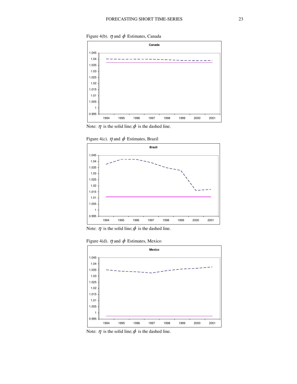Figure 4(b).  $\eta$  and  $\phi$  Estimates, Canada



Note:  $\eta$  is the solid line;  $\phi$  is the dashed line.

Figure 4(c).  $\eta$  and  $\phi$  Estimates, Brazil



Note:  $\eta$  is the solid line;  $\phi$  is the dashed line.

Figure 4(d).  $\eta$  and  $\phi$  Estimates, Mexico



Note:  $\eta$  is the solid line;  $\phi$  is the dashed line.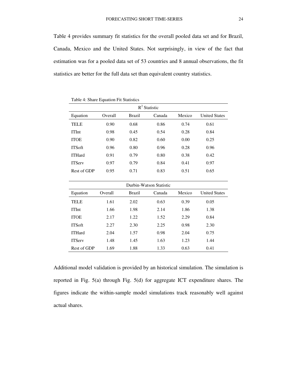Table 4 provides summary fit statistics for the overall pooled data set and for Brazil, Canada, Mexico and the United States. Not surprisingly, in view of the fact that estimation was for a pooled data set of 53 countries and 8 annual observations, the fit statistics are better for the full data set than equivalent country statistics.

| Table 4: Share Equation Fit Statistics |         |               |        |        |                      |  |
|----------------------------------------|---------|---------------|--------|--------|----------------------|--|
| $R^2$ Statistic                        |         |               |        |        |                      |  |
| Equation                               | Overall | <b>Brazil</b> | Canada | Mexico | <b>United States</b> |  |
| <b>TELE</b>                            | 0.90    | 0.68          | 0.86   | 0.74   | 0.61                 |  |
| <b>ITInt</b>                           | 0.98    | 0.45          | 0.54   | 0.28   | 0.84                 |  |
| <b>ITOE</b>                            | 0.90    | 0.82          | 0.60   | 0.00   | 0.25                 |  |
| <b>ITS</b> oft                         | 0.96    | 0.80          | 0.96   | 0.28   | 0.96                 |  |
| <b>ITHard</b>                          | 0.91    | 0.79          | 0.80   | 0.38   | 0.42                 |  |
| <b>ITServ</b>                          | 0.97    | 0.79          | 0.84   | 0.41   | 0.97                 |  |
| Rest of GDP                            | 0.95    | 0.71          | 0.83   | 0.51   | 0.65                 |  |

| Durbin-Watson Statistic |         |        |        |        |                      |  |
|-------------------------|---------|--------|--------|--------|----------------------|--|
| Equation                | Overall | Brazil | Canada | Mexico | <b>United States</b> |  |
| <b>TELE</b>             | 1.61    | 2.02   | 0.63   | 0.39   | 0.05                 |  |
| <b>ITInt</b>            | 1.66    | 1.98   | 2.14   | 1.86   | 1.38                 |  |
| <b>ITOE</b>             | 2.17    | 1.22   | 1.52   | 2.29   | 0.84                 |  |
| <b>ITS</b> of t         | 2.27    | 2.30   | 2.25   | 0.98   | 2.30                 |  |
| <b>ITHard</b>           | 2.04    | 1.57   | 0.98   | 2.04   | 0.75                 |  |
| <b>ITServ</b>           | 1.48    | 1.45   | 1.63   | 1.23   | 1.44                 |  |
| Rest of GDP             | 1.69    | 1.88   | 1.33   | 0.63   | 0.41                 |  |

Additional model validation is provided by an historical simulation. The simulation is reported in Fig. 5(a) through Fig. 5(d) for aggregate ICT expenditure shares. The figures indicate the within-sample model simulations track reasonably well against actual shares.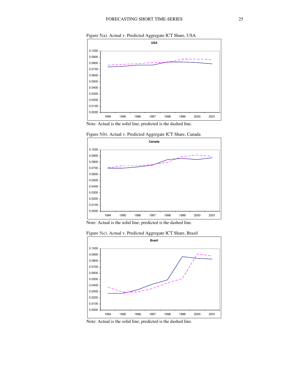



Note: Actual is the solid line; predicted is the dashed line.



Figure 5(b). Actual v. Predicted Aggregate ICT Share, Canada

Note: Actual is the solid line; predicted is the dashed line.





Note: Actual is the solid line; predicted is the dashed line.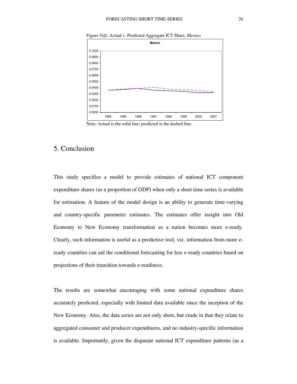

Figure 5(d). Actual v. Predicted Aggregate ICT Share, Mexico

Note: Actual is the solid line; predicted is the dashed line.

### 5. Conclusion

This study specifies a model to provide estimates of national ICT component expenditure shares (as a proportion of GDP) when only a short time series is available for estimation. A feature of the model design is an ability to generate time-varying and country-specific parameter estimates. The estimates offer insight into Old Economy to New Economy transformation as a nation becomes more e-ready. Clearly, such information is useful as a predictive tool, viz. information from more eready countries can aid the conditional forecasting for less e-ready countries based on projections of their transition towards e-readiness.

The results are somewhat encouraging with some national expenditure shares accurately predicted, especially with limited data available since the inception of the New Economy. Also, the data series are not only short, but crude in that they relate to aggregated consumer and producer expenditures, and no industry-specific information is available. Importantly, given the disparate national ICT expenditure patterns (as a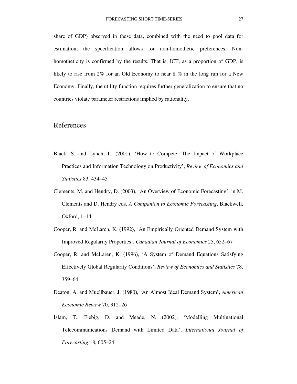share of GDP) observed in these data, combined with the need to pool data for estimation, the specification allows for non-homothetic preferences. Nonhomotheticity is confirmed by the results. That is, ICT, as a proportion of GDP, is likely to rise from 2% for an Old Economy to near 8 % in the long run for a New Economy. Finally, the utility function requires further generalization to ensure that no countries violate parameter restrictions implied by rationality.

#### References

- Black, S. and Lynch, L. (2001), 'How to Compete: The Impact of Workplace Practices and Information Technology on Productivity', *Review of Economics and Statistics* 83, 434–45
- Clements, M. and Hendry, D. (2003), 'An Overview of Economic Forecasting', in M. Clements and D. Hendry eds. *A Companion to Economic Forecasting*, Blackwell, Oxford, 1–14
- Cooper, R. and McLaren, K. (1992), 'An Empirically Oriented Demand System with Improved Regularity Properties', *Canadian Journal of Economics* 25, 652–67
- Cooper, R. and McLaren, K. (1996), 'A System of Demand Equations Satisfying Effectively Global Regularity Conditions', *Review of Economics and Statistics* 78, 359–64
- Deaton, A. and Muellbauer, J. (1980), 'An Almost Ideal Demand System', *American Economic Review* 70, 312–26
- Islam, T., Fiebig, D. and Meade, N. (2002), 'Modelling Multinational Telecommunications Demand with Limited Data', *International Journal of Forecasting* 18, 605–24